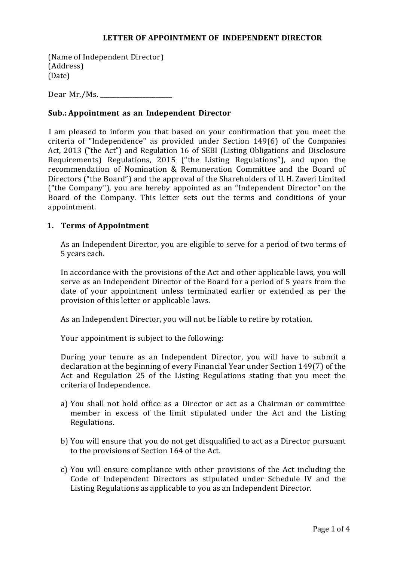#### **LETTER OF APPOINTMENT OF INDEPENDENT DIRECTOR**

(Name of Independent Director) (Address) (Date)

Dear Mr./Ms. \_\_\_\_\_\_\_\_\_\_\_\_\_\_\_\_\_\_\_\_\_\_

### **Sub.: Appointment as an Independent Director**

I am pleased to inform you that based on your confirmation that you meet the criteria of "Independence" as provided under Section 149(6) of the Companies Act, 2013 ("the Act") and Regulation 16 of SEBI (Listing Obligations and Disclosure Requirements) Regulations, 2015 ("the Listing Regulations"), and upon the recommendation of Nomination & Remuneration Committee and the Board of Directors ("the Board") and the approval of the Shareholders of U. H. Zaveri Limited ("the Company"), you are hereby appointed as an "Independent Director" on the Board of the Company. This letter sets out the terms and conditions of your appointment.

### **1. Terms of Appointment**

As an Independent Director, you are eligible to serve for a period of two terms of 5 years each.

In accordance with the provisions of the Act and other applicable laws, you will serve as an Independent Director of the Board for a period of 5 years from the date of your appointment unless terminated earlier or extended as per the provision of this letter or applicable laws.

As an Independent Director, you will not be liable to retire by rotation.

Your appointment is subject to the following:

During your tenure as an Independent Director, you will have to submit a declaration at the beginning of every Financial Year under Section 149(7) of the Act and Regulation 25 of the Listing Regulations stating that you meet the criteria of Independence.

- a) You shall not hold office as a Director or act as a Chairman or committee member in excess of the limit stipulated under the Act and the Listing Regulations.
- b) You will ensure that you do not get disqualified to act as a Director pursuant to the provisions of Section 164 of the Act.
- c) You will ensure compliance with other provisions of the Act including the Code of Independent Directors as stipulated under Schedule IV and the Listing Regulations as applicable to you as an Independent Director.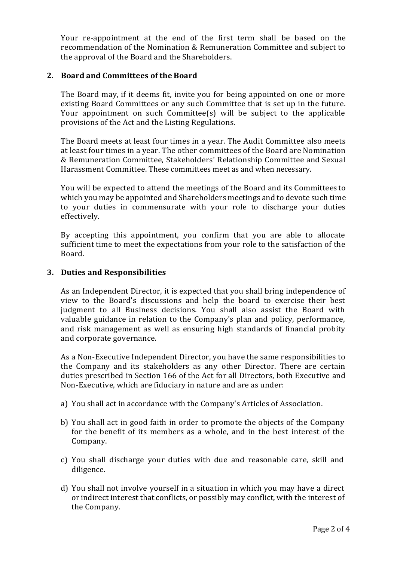Your re-appointment at the end of the first term shall be based on the recommendation of the Nomination & Remuneration Committee and subject to the approval of the Board and the Shareholders.

## **2. Board and Committees of the Board**

The Board may, if it deems fit, invite you for being appointed on one or more existing Board Committees or any such Committee that is set up in the future. Your appointment on such Committee(s) will be subject to the applicable provisions of the Act and the Listing Regulations.

The Board meets at least four times in a year. The Audit Committee also meets at least four times in a year. The other committees of the Board are Nomination & Remuneration Committee, Stakeholders' Relationship Committee and Sexual Harassment Committee. These committees meet as and when necessary.

You will be expected to attend the meetings of the Board and its Committees to which you may be appointed and Shareholders meetings and to devote such time to your duties in commensurate with your role to discharge your duties effectively.

By accepting this appointment, you confirm that you are able to allocate sufficient time to meet the expectations from your role to the satisfaction of the Board.

### **3. Duties and Responsibilities**

As an Independent Director, it is expected that you shall bring independence of view to the Board's discussions and help the board to exercise their best judgment to all Business decisions. You shall also assist the Board with valuable guidance in relation to the Company's plan and policy, performance, and risk management as well as ensuring high standards of financial probity and corporate governance.

As a Non-Executive Independent Director, you have the same responsibilities to the Company and its stakeholders as any other Director. There are certain duties prescribed in Section 166 of the Act for all Directors, both Executive and Non-Executive, which are fiduciary in nature and are as under:

- a) You shall act in accordance with the Company's Articles of Association.
- b) You shall act in good faith in order to promote the objects of the Company for the benefit of its members as a whole, and in the best interest of the Company.
- c) You shall discharge your duties with due and reasonable care, skill and diligence.
- d) You shall not involve yourself in a situation in which you may have a direct or indirect interest that conflicts, or possibly may conflict, with the interest of the Company.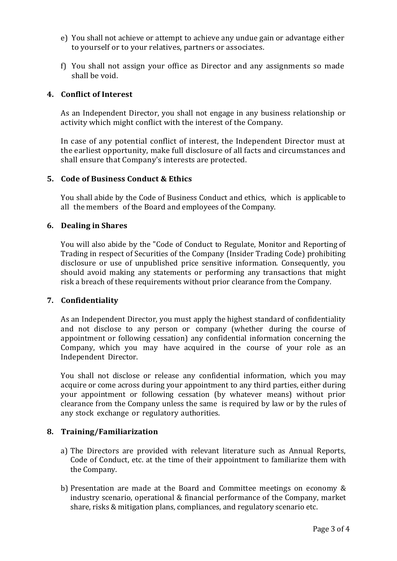- e) You shall not achieve or attempt to achieve any undue gain or advantage either to yourself or to your relatives, partners or associates.
- f) You shall not assign your office as Director and any assignments so made shall be void.

# **4. Conflict of Interest**

As an Independent Director, you shall not engage in any business relationship or activity which might conflict with the interest of the Company.

In case of any potential conflict of interest, the Independent Director must at the earliest opportunity, make full disclosure of all facts and circumstances and shall ensure that Company's interests are protected.

### **5. Code of Business Conduct & Ethics**

You shall abide by the Code of Business Conduct and ethics, which is applicable to all the members of the Board and employees of the Company.

### **6. Dealing in Shares**

You will also abide by the "Code of Conduct to Regulate, Monitor and Reporting of Trading in respect of Securities of the Company (Insider Trading Code) prohibiting disclosure or use of unpublished price sensitive information. Consequently, you should avoid making any statements or performing any transactions that might risk a breach of these requirements without prior clearance from the Company.

#### **7. Confidentiality**

As an Independent Director, you must apply the highest standard of confidentiality and not disclose to any person or company (whether during the course of appointment or following cessation) any confidential information concerning the Company, which you may have acquired in the course of your role as an Independent Director.

You shall not disclose or release any confidential information, which you may acquire or come across during your appointment to any third parties, either during your appointment or following cessation (by whatever means) without prior clearance from the Company unless the same is required by law or by the rules of any stock exchange or regulatory authorities.

#### **8. Training/Familiarization**

- a) The Directors are provided with relevant literature such as Annual Reports, Code of Conduct, etc. at the time of their appointment to familiarize them with the Company.
- b) Presentation are made at the Board and Committee meetings on economy & industry scenario, operational & financial performance of the Company, market share, risks & mitigation plans, compliances, and regulatory scenario etc.